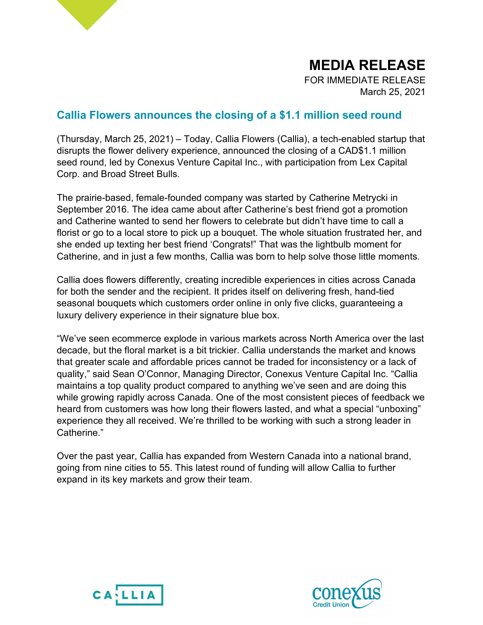

FOR IMMEDIATE RELEASE March 25, 2021

# Callia Flowers announces the closing of a \$1.1 million seed round

(Thursday, March 25, 2021) – Today, Callia Flowers (Callia), a tech-enabled startup that disrupts the flower delivery experience, announced the closing of a CAD\$1.1 million seed round, led by Conexus Venture Capital Inc., with participation from Lex Capital Corp. and Broad Street Bulls.

The prairie-based, female-founded company was started by Catherine Metrycki in September 2016. The idea came about after Catherine's best friend got a promotion and Catherine wanted to send her flowers to celebrate but didn't have time to call a florist or go to a local store to pick up a bouquet. The whole situation frustrated her, and she ended up texting her best friend 'Congrats!" That was the lightbulb moment for Catherine, and in just a few months, Callia was born to help solve those little moments.

Callia does flowers differently, creating incredible experiences in cities across Canada for both the sender and the recipient. It prides itself on delivering fresh, hand-tied seasonal bouquets which customers order online in only five clicks, guaranteeing a luxury delivery experience in their signature blue box.

"We've seen ecommerce explode in various markets across North America over the last decade, but the floral market is a bit trickier. Callia understands the market and knows that greater scale and affordable prices cannot be traded for inconsistency or a lack of quality," said Sean O'Connor, Managing Director, Conexus Venture Capital Inc. "Callia maintains a top quality product compared to anything we've seen and are doing this while growing rapidly across Canada. One of the most consistent pieces of feedback we heard from customers was how long their flowers lasted, and what a special "unboxing" experience they all received. We're thrilled to be working with such a strong leader in Catherine."

Over the past year, Callia has expanded from Western Canada into a national brand, going from nine cities to 55. This latest round of funding will allow Callia to further expand in its key markets and grow their team.